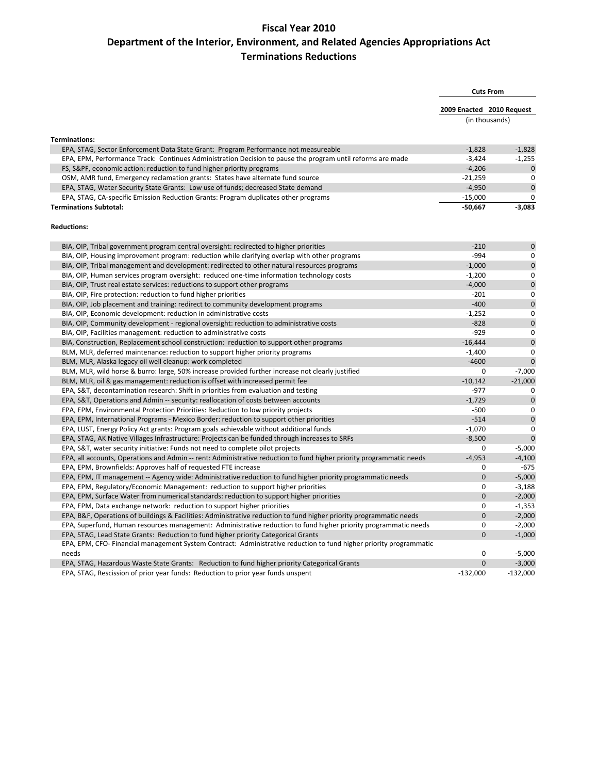## **Fiscal Year 2010**

## **Department of the Interior, Environment, and Related Agencies Appropriations Act Terminations Reductions**

|                                                                                                                      |                           | <b>Cuts From</b> |  |
|----------------------------------------------------------------------------------------------------------------------|---------------------------|------------------|--|
|                                                                                                                      | 2009 Enacted 2010 Request |                  |  |
|                                                                                                                      |                           | (in thousands)   |  |
| <b>Terminations:</b>                                                                                                 |                           |                  |  |
| EPA, STAG, Sector Enforcement Data State Grant: Program Performance not measureable                                  | $-1,828$                  | $-1,828$         |  |
| EPA, EPM, Performance Track: Continues Administration Decision to pause the program until reforms are made           | $-3,424$                  | $-1,255$         |  |
| FS, S&PF, economic action: reduction to fund higher priority programs                                                | $-4,206$                  | $\mathbf 0$      |  |
| OSM, AMR fund, Emergency reclamation grants: States have alternate fund source                                       | $-21,259$                 | $\mathbf 0$      |  |
| EPA, STAG, Water Security State Grants: Low use of funds; decreased State demand                                     | $-4,950$                  | $\mathbf 0$      |  |
| EPA, STAG, CA-specific Emission Reduction Grants: Program duplicates other programs                                  | $-15,000$                 | $\mathbf 0$      |  |
| <b>Terminations Subtotal:</b>                                                                                        | $-50.667$                 | $-3,083$         |  |
| <b>Reductions:</b>                                                                                                   |                           |                  |  |
| BIA, OIP, Tribal government program central oversight: redirected to higher priorities                               | $-210$                    | $\mathbf 0$      |  |
| BIA, OIP, Housing improvement program: reduction while clarifying overlap with other programs                        | $-994$                    | $\mathbf 0$      |  |
| BIA, OIP, Tribal management and development: redirected to other natural resources programs                          | $-1,000$                  | $\mathbf 0$      |  |
| BIA, OIP, Human services program oversight: reduced one-time information technology costs                            | $-1,200$                  | $\mathbf 0$      |  |
| BIA, OIP, Trust real estate services: reductions to support other programs                                           | $-4,000$                  | $\mathbf 0$      |  |
| BIA, OIP, Fire protection: reduction to fund higher priorities                                                       | $-201$                    | $\mathbf 0$      |  |
| BIA, OIP, Job placement and training: redirect to community development programs                                     | $-400$                    | $\mathbf 0$      |  |
| BIA, OIP, Economic development: reduction in administrative costs                                                    | $-1,252$                  | $\mathbf 0$      |  |
| BIA, OIP, Community development - regional oversight: reduction to administrative costs                              | $-828$                    | $\mathbf 0$      |  |
| BIA, OIP, Facilities management: reduction to administrative costs                                                   | $-929$                    | $\mathbf 0$      |  |
| BIA, Construction, Replacement school construction: reduction to support other programs                              | $-16,444$                 | $\mathbf 0$      |  |
| BLM, MLR, deferred maintenance: reduction to support higher priority programs                                        | $-1,400$                  | $\mathbf 0$      |  |
| BLM, MLR, Alaska legacy oil well cleanup: work completed                                                             | $-4600$                   | $\mathbf{0}$     |  |
| BLM, MLR, wild horse & burro: large, 50% increase provided further increase not clearly justified                    | $\mathbf 0$               | $-7,000$         |  |
| BLM, MLR, oil & gas management: reduction is offset with increased permit fee                                        | $-10,142$                 | $-21,000$        |  |
| EPA, S&T, decontamination research: Shift in priorities from evaluation and testing                                  | $-977$                    | $\mathbf 0$      |  |
| EPA, S&T, Operations and Admin -- security: reallocation of costs between accounts                                   | $-1,729$                  | $\pmb{0}$        |  |
| EPA, EPM, Environmental Protection Priorities: Reduction to low priority projects                                    | $-500$                    | $\mathbf 0$      |  |
| EPA, EPM, International Programs - Mexico Border: reduction to support other priorities                              | $-514$                    | $\pmb{0}$        |  |
| EPA, LUST, Energy Policy Act grants: Program goals achievable without additional funds                               | $-1,070$                  | $\mathbf 0$      |  |
| EPA, STAG, AK Native Villages Infrastructure: Projects can be funded through increases to SRFs                       | $-8.500$                  | $\mathbf{0}$     |  |
| EPA, S&T, water security initiative: Funds not need to complete pilot projects                                       | 0                         | $-5,000$         |  |
| EPA, all accounts, Operations and Admin -- rent: Administrative reduction to fund higher priority programmatic needs | $-4,953$                  | $-4,100$         |  |
| EPA, EPM, Brownfields: Approves half of requested FTE increase                                                       | 0                         | $-675$           |  |
| EPA, EPM, IT management -- Agency wide: Administrative reduction to fund higher priority programmatic needs          | $\mathbf 0$               | $-5,000$         |  |
| EPA, EPM, Regulatory/Economic Management: reduction to support higher priorities                                     | $\mathbf 0$               | $-3,188$         |  |
| EPA, EPM, Surface Water from numerical standards: reduction to support higher priorities                             | $\mathbf 0$               | $-2,000$         |  |
| EPA, EPM, Data exchange network: reduction to support higher priorities                                              | $\mathbf{0}$              | $-1,353$         |  |
| EPA, B&F, Operations of buildings & Facilities: Administrative reduction to fund higher priority programmatic needs  | $\mathbf{0}$              | $-2,000$         |  |
| EPA, Superfund, Human resources management: Administrative reduction to fund higher priority programmatic needs      | $\mathbf{0}$              | $-2,000$         |  |
| EPA, STAG, Lead State Grants: Reduction to fund higher priority Categorical Grants                                   | $\mathbf{0}$              | $-1,000$         |  |
| EPA, EPM, CFO- Financial management System Contract: Administrative reduction to fund higher priority programmatic   |                           |                  |  |
| needs                                                                                                                | $\mathbf 0$               | $-5,000$         |  |
| EPA, STAG, Hazardous Waste State Grants: Reduction to fund higher priority Categorical Grants                        | $\Omega$                  | $-3,000$         |  |
| EPA, STAG, Rescission of prior year funds: Reduction to prior year funds unspent                                     | $-132,000$                | $-132,000$       |  |